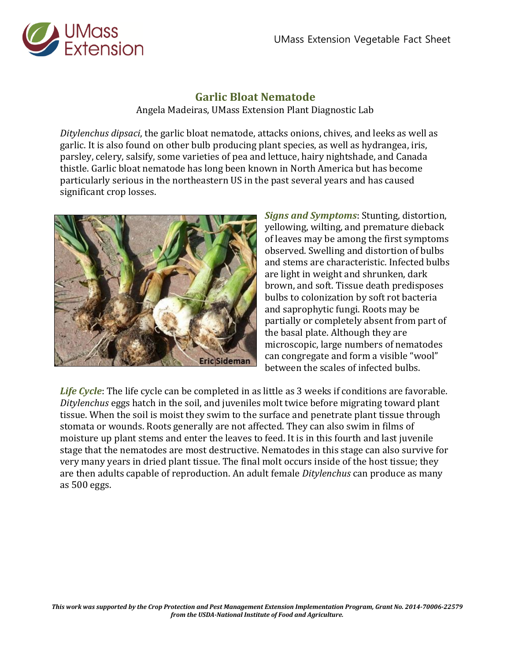

**Garlic Bloat Nematode** Angela Madeiras, UMass Extension Plant Diagnostic Lab

*Ditylenchus dipsaci*, the garlic bloat nematode, attacks onions, chives, and leeks as well as garlic. It is also found on other bulb producing plant species, as well as hydrangea, iris, parsley, celery, salsify, some varieties of pea and lettuce, hairy nightshade, and Canada thistle. Garlic bloat nematode has long been known in North America but has become particularly serious in the northeastern US in the past several years and has caused significant crop losses.



*Signs and Symptoms*: Stunting, distortion, yellowing, wilting, and premature dieback of leaves may be among the first symptoms observed. Swelling and distortion of bulbs and stems are characteristic. Infected bulbs are light in weight and shrunken, dark brown, and soft. Tissue death predisposes bulbs to colonization by soft rot bacteria and saprophytic fungi. Roots may be partially or completely absent from part of the basal plate. Although they are microscopic, large numbers of nematodes can congregate and form a visible "wool" between the scales of infected bulbs.

*Life Cycle*: The life cycle can be completed in as little as 3 weeks if conditions are favorable. *Ditylenchus* eggs hatch in the soil, and juveniles molt twice before migrating toward plant tissue. When the soil is moist they swim to the surface and penetrate plant tissue through stomata or wounds. Roots generally are not affected. They can also swim in films of moisture up plant stems and enter the leaves to feed. It is in this fourth and last juvenile stage that the nematodes are most destructive. Nematodes in this stage can also survive for very many years in dried plant tissue. The final molt occurs inside of the host tissue; they are then adults capable of reproduction. An adult female *Ditylenchus* can produce as many as 500 eggs.